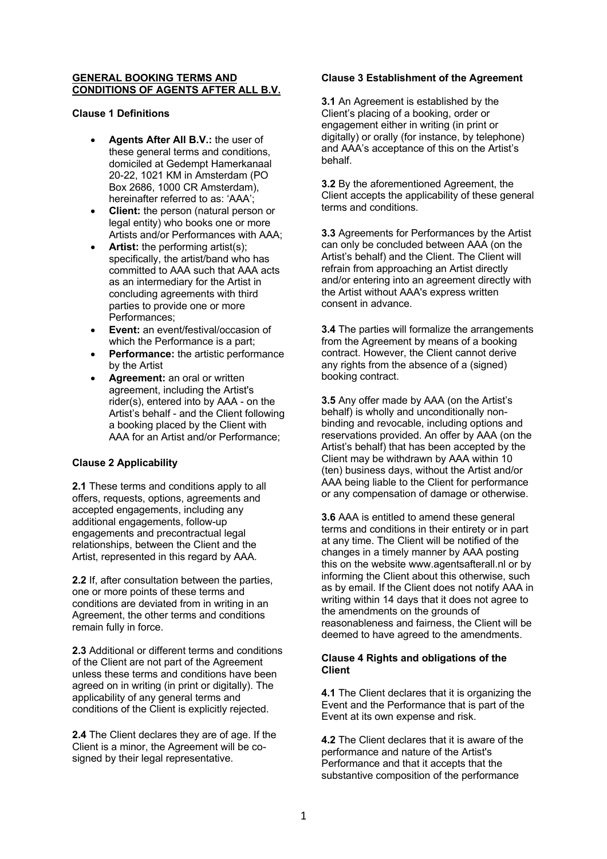### **GENERAL BOOKING TERMS AND CONDITIONS OF AGENTS AFTER ALL B.V.**

**Clause 1 Definitions**

- **Agents After All B.V.:** the user of these general terms and conditions, domiciled at Gedempt Hamerkanaal 20-22, 1021 KM in Amsterdam (PO Box 2686, 1000 CR Amsterdam), hereinafter referred to as: 'AAA';
- **Client:** the person (natural person or legal entity) who books one or more Artists and/or Performances with AAA;
- Artist: the performing artist(s); specifically, the artist/band who has committed to AAA such that AAA acts as an intermediary for the Artist in concluding agreements with third parties to provide one or more Performances;
- **Event:** an event/festival/occasion of which the Performance is a part;
- **Performance:** the artistic performance by the Artist
- **Agreement:** an oral or written agreement, including the Artist's rider(s), entered into by AAA - on the Artist's behalf - and the Client following a booking placed by the Client with AAA for an Artist and/or Performance;

# **Clause 2 Applicability**

**2.1** These terms and conditions apply to all offers, requests, options, agreements and accepted engagements, including any additional engagements, follow-up engagements and precontractual legal relationships, between the Client and the Artist, represented in this regard by AAA.

**2.2** If, after consultation between the parties, one or more points of these terms and conditions are deviated from in writing in an Agreement, the other terms and conditions remain fully in force.

**2.3** Additional or different terms and conditions of the Client are not part of the Agreement unless these terms and conditions have been agreed on in writing (in print or digitally). The applicability of any general terms and conditions of the Client is explicitly rejected.

**2.4** The Client declares they are of age. If the Client is a minor, the Agreement will be cosigned by their legal representative.

# **Clause 3 Establishment of the Agreement**

**3.1** An Agreement is established by the Client's placing of a booking, order or engagement either in writing (in print or digitally) or orally (for instance, by telephone) and AAA's acceptance of this on the Artist's behalf.

**3.2** By the aforementioned Agreement, the Client accepts the applicability of these general terms and conditions.

**3.3** Agreements for Performances by the Artist can only be concluded between AAA (on the Artist's behalf) and the Client. The Client will refrain from approaching an Artist directly and/or entering into an agreement directly with the Artist without AAA's express written consent in advance.

**3.4** The parties will formalize the arrangements from the Agreement by means of a booking contract. However, the Client cannot derive any rights from the absence of a (signed) booking contract.

**3.5** Any offer made by AAA (on the Artist's behalf) is wholly and unconditionally nonbinding and revocable, including options and reservations provided. An offer by AAA (on the Artist's behalf) that has been accepted by the Client may be withdrawn by AAA within 10 (ten) business days, without the Artist and/or AAA being liable to the Client for performance or any compensation of damage or otherwise.

**3.6** AAA is entitled to amend these general terms and conditions in their entirety or in part at any time. The Client will be notified of the changes in a timely manner by AAA posting this on the website www.agentsafterall.nl or by informing the Client about this otherwise, such as by email. If the Client does not notify AAA in writing within 14 days that it does not agree to the amendments on the grounds of reasonableness and fairness, the Client will be deemed to have agreed to the amendments.

## **Clause 4 Rights and obligations of the Client**

**4.1** The Client declares that it is organizing the Event and the Performance that is part of the Event at its own expense and risk.

**4.2** The Client declares that it is aware of the performance and nature of the Artist's Performance and that it accepts that the substantive composition of the performance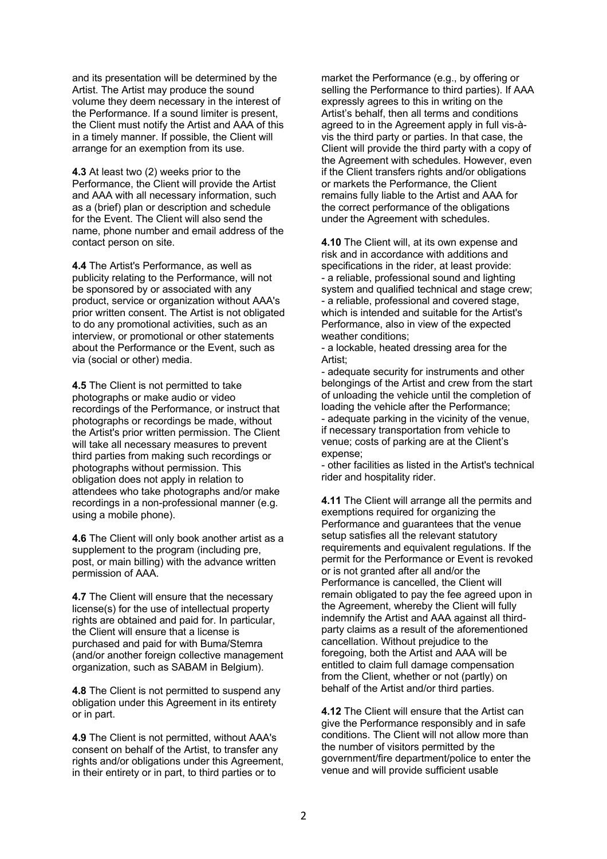and its presentation will be determined by the Artist. The Artist may produce the sound volume they deem necessary in the interest of the Performance. If a sound limiter is present, the Client must notify the Artist and AAA of this in a timely manner. If possible, the Client will arrange for an exemption from its use.

**4.3** At least two (2) weeks prior to the Performance, the Client will provide the Artist and AAA with all necessary information, such as a (brief) plan or description and schedule for the Event. The Client will also send the name, phone number and email address of the contact person on site.

**4.4** The Artist's Performance, as well as publicity relating to the Performance, will not be sponsored by or associated with any product, service or organization without AAA's prior written consent. The Artist is not obligated to do any promotional activities, such as an interview, or promotional or other statements about the Performance or the Event, such as via (social or other) media.

**4.5** The Client is not permitted to take photographs or make audio or video recordings of the Performance, or instruct that photographs or recordings be made, without the Artist's prior written permission. The Client will take all necessary measures to prevent third parties from making such recordings or photographs without permission. This obligation does not apply in relation to attendees who take photographs and/or make recordings in a non-professional manner (e.g. using a mobile phone).

**4.6** The Client will only book another artist as a supplement to the program (including pre. post, or main billing) with the advance written permission of AAA.

**4.7** The Client will ensure that the necessary license(s) for the use of intellectual property rights are obtained and paid for. In particular, the Client will ensure that a license is purchased and paid for with Buma/Stemra (and/or another foreign collective management organization, such as SABAM in Belgium).

**4.8** The Client is not permitted to suspend any obligation under this Agreement in its entirety or in part.

**4.9** The Client is not permitted, without AAA's consent on behalf of the Artist, to transfer any rights and/or obligations under this Agreement, in their entirety or in part, to third parties or to

market the Performance (e.g., by offering or selling the Performance to third parties). If AAA expressly agrees to this in writing on the Artist's behalf, then all terms and conditions agreed to in the Agreement apply in full vis-àvis the third party or parties. In that case, the Client will provide the third party with a copy of the Agreement with schedules. However, even if the Client transfers rights and/or obligations or markets the Performance, the Client remains fully liable to the Artist and AAA for the correct performance of the obligations under the Agreement with schedules.

**4.10** The Client will, at its own expense and risk and in accordance with additions and specifications in the rider, at least provide: - a reliable, professional sound and lighting system and qualified technical and stage crew; - a reliable, professional and covered stage, which is intended and suitable for the Artist's Performance, also in view of the expected weather conditions;

- a lockable, heated dressing area for the Artist;

- adequate security for instruments and other belongings of the Artist and crew from the start of unloading the vehicle until the completion of loading the vehicle after the Performance; - adequate parking in the vicinity of the venue, if necessary transportation from vehicle to venue; costs of parking are at the Client's expense;

- other facilities as listed in the Artist's technical rider and hospitality rider.

**4.11** The Client will arrange all the permits and exemptions required for organizing the Performance and guarantees that the venue setup satisfies all the relevant statutory requirements and equivalent regulations. If the permit for the Performance or Event is revoked or is not granted after all and/or the Performance is cancelled, the Client will remain obligated to pay the fee agreed upon in the Agreement, whereby the Client will fully indemnify the Artist and AAA against all thirdparty claims as a result of the aforementioned cancellation. Without prejudice to the foregoing, both the Artist and AAA will be entitled to claim full damage compensation from the Client, whether or not (partly) on behalf of the Artist and/or third parties.

**4.12** The Client will ensure that the Artist can give the Performance responsibly and in safe conditions. The Client will not allow more than the number of visitors permitted by the government/fire department/police to enter the venue and will provide sufficient usable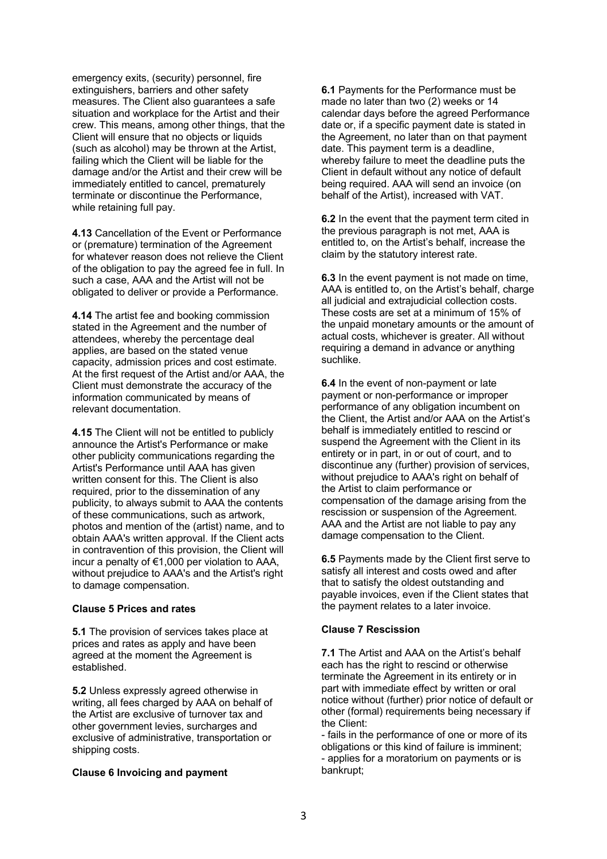emergency exits, (security) personnel, fire extinguishers, barriers and other safety measures. The Client also guarantees a safe situation and workplace for the Artist and their crew. This means, among other things, that the Client will ensure that no objects or liquids (such as alcohol) may be thrown at the Artist, failing which the Client will be liable for the damage and/or the Artist and their crew will be immediately entitled to cancel, prematurely terminate or discontinue the Performance, while retaining full pay.

**4.13** Cancellation of the Event or Performance or (premature) termination of the Agreement for whatever reason does not relieve the Client of the obligation to pay the agreed fee in full. In such a case, AAA and the Artist will not be obligated to deliver or provide a Performance.

**4.14** The artist fee and booking commission stated in the Agreement and the number of attendees, whereby the percentage deal applies, are based on the stated venue capacity, admission prices and cost estimate. At the first request of the Artist and/or AAA, the Client must demonstrate the accuracy of the information communicated by means of relevant documentation.

**4.15** The Client will not be entitled to publicly announce the Artist's Performance or make other publicity communications regarding the Artist's Performance until AAA has given written consent for this. The Client is also required, prior to the dissemination of any publicity, to always submit to AAA the contents of these communications, such as artwork, photos and mention of the (artist) name, and to obtain AAA's written approval. If the Client acts in contravention of this provision, the Client will incur a penalty of €1,000 per violation to AAA, without prejudice to AAA's and the Artist's right to damage compensation.

### **Clause 5 Prices and rates**

**5.1** The provision of services takes place at prices and rates as apply and have been agreed at the moment the Agreement is established.

**5.2** Unless expressly agreed otherwise in writing, all fees charged by AAA on behalf of the Artist are exclusive of turnover tax and other government levies, surcharges and exclusive of administrative, transportation or shipping costs.

#### **Clause 6 Invoicing and payment**

**6.1** Payments for the Performance must be made no later than two (2) weeks or 14 calendar days before the agreed Performance date or, if a specific payment date is stated in the Agreement, no later than on that payment date. This payment term is a deadline, whereby failure to meet the deadline puts the Client in default without any notice of default being required. AAA will send an invoice (on behalf of the Artist), increased with VAT.

**6.2** In the event that the payment term cited in the previous paragraph is not met, AAA is entitled to, on the Artist's behalf, increase the claim by the statutory interest rate.

**6.3** In the event payment is not made on time, AAA is entitled to, on the Artist's behalf, charge all judicial and extrajudicial collection costs. These costs are set at a minimum of 15% of the unpaid monetary amounts or the amount of actual costs, whichever is greater. All without requiring a demand in advance or anything suchlike.

**6.4** In the event of non-payment or late payment or non-performance or improper performance of any obligation incumbent on the Client, the Artist and/or AAA on the Artist's behalf is immediately entitled to rescind or suspend the Agreement with the Client in its entirety or in part, in or out of court, and to discontinue any (further) provision of services, without prejudice to AAA's right on behalf of the Artist to claim performance or compensation of the damage arising from the rescission or suspension of the Agreement. AAA and the Artist are not liable to pay any damage compensation to the Client.

**6.5** Payments made by the Client first serve to satisfy all interest and costs owed and after that to satisfy the oldest outstanding and payable invoices, even if the Client states that the payment relates to a later invoice.

### **Clause 7 Rescission**

**7.1** The Artist and AAA on the Artist's behalf each has the right to rescind or otherwise terminate the Agreement in its entirety or in part with immediate effect by written or oral notice without (further) prior notice of default or other (formal) requirements being necessary if the Client:

- fails in the performance of one or more of its obligations or this kind of failure is imminent; - applies for a moratorium on payments or is bankrupt;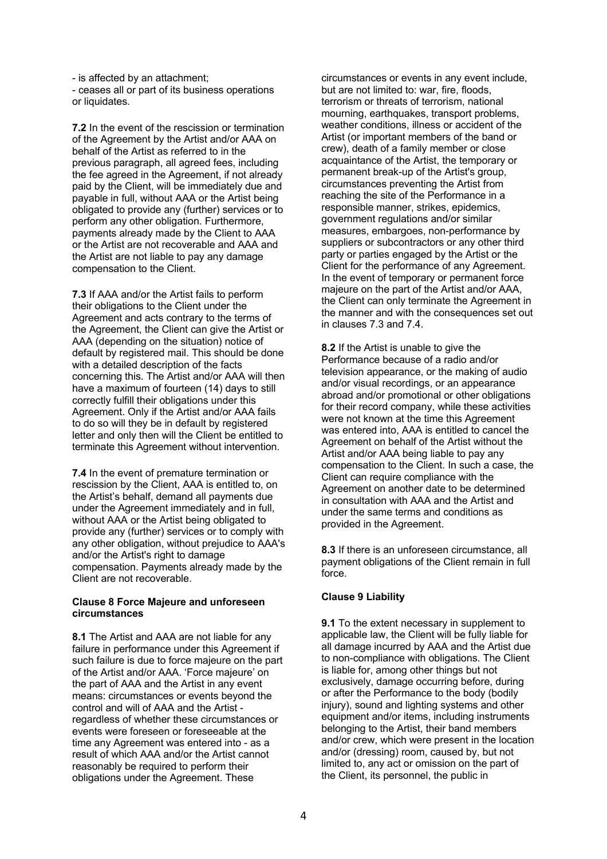- is affected by an attachment; - ceases all or part of its business operations or liquidates.

**7.2** In the event of the rescission or termination of the Agreement by the Artist and/or AAA on behalf of the Artist as referred to in the previous paragraph, all agreed fees, including the fee agreed in the Agreement, if not already paid by the Client, will be immediately due and payable in full, without AAA or the Artist being obligated to provide any (further) services or to perform any other obligation. Furthermore, payments already made by the Client to AAA or the Artist are not recoverable and AAA and the Artist are not liable to pay any damage compensation to the Client.

**7.3** If AAA and/or the Artist fails to perform their obligations to the Client under the Agreement and acts contrary to the terms of the Agreement, the Client can give the Artist or AAA (depending on the situation) notice of default by registered mail. This should be done with a detailed description of the facts concerning this. The Artist and/or AAA will then have a maximum of fourteen (14) days to still correctly fulfill their obligations under this Agreement. Only if the Artist and/or AAA fails to do so will they be in default by registered letter and only then will the Client be entitled to terminate this Agreement without intervention.

**7.4** In the event of premature termination or rescission by the Client, AAA is entitled to, on the Artist's behalf, demand all payments due under the Agreement immediately and in full, without AAA or the Artist being obligated to provide any (further) services or to comply with any other obligation, without prejudice to AAA's and/or the Artist's right to damage compensation. Payments already made by the Client are not recoverable.

### **Clause 8 Force Majeure and unforeseen circumstances**

**8.1** The Artist and AAA are not liable for any failure in performance under this Agreement if such failure is due to force majeure on the part of the Artist and/or AAA. 'Force majeure' on the part of AAA and the Artist in any event means: circumstances or events beyond the control and will of AAA and the Artist regardless of whether these circumstances or events were foreseen or foreseeable at the time any Agreement was entered into - as a result of which AAA and/or the Artist cannot reasonably be required to perform their obligations under the Agreement. These

circumstances or events in any event include, but are not limited to: war, fire, floods, terrorism or threats of terrorism, national mourning, earthquakes, transport problems, weather conditions, illness or accident of the Artist (or important members of the band or crew), death of a family member or close acquaintance of the Artist, the temporary or permanent break-up of the Artist's group, circumstances preventing the Artist from reaching the site of the Performance in a responsible manner, strikes, epidemics, government regulations and/or similar measures, embargoes, non-performance by suppliers or subcontractors or any other third party or parties engaged by the Artist or the Client for the performance of any Agreement. In the event of temporary or permanent force majeure on the part of the Artist and/or AAA, the Client can only terminate the Agreement in the manner and with the consequences set out in clauses 7.3 and 7.4.

**8.2** If the Artist is unable to give the Performance because of a radio and/or television appearance, or the making of audio and/or visual recordings, or an appearance abroad and/or promotional or other obligations for their record company, while these activities were not known at the time this Agreement was entered into, AAA is entitled to cancel the Agreement on behalf of the Artist without the Artist and/or AAA being liable to pay any compensation to the Client. In such a case, the Client can require compliance with the Agreement on another date to be determined in consultation with AAA and the Artist and under the same terms and conditions as provided in the Agreement.

**8.3** If there is an unforeseen circumstance, all payment obligations of the Client remain in full force.

# **Clause 9 Liability**

**9.1** To the extent necessary in supplement to applicable law, the Client will be fully liable for all damage incurred by AAA and the Artist due to non-compliance with obligations. The Client is liable for, among other things but not exclusively, damage occurring before, during or after the Performance to the body (bodily injury), sound and lighting systems and other equipment and/or items, including instruments belonging to the Artist, their band members and/or crew, which were present in the location and/or (dressing) room, caused by, but not limited to, any act or omission on the part of the Client, its personnel, the public in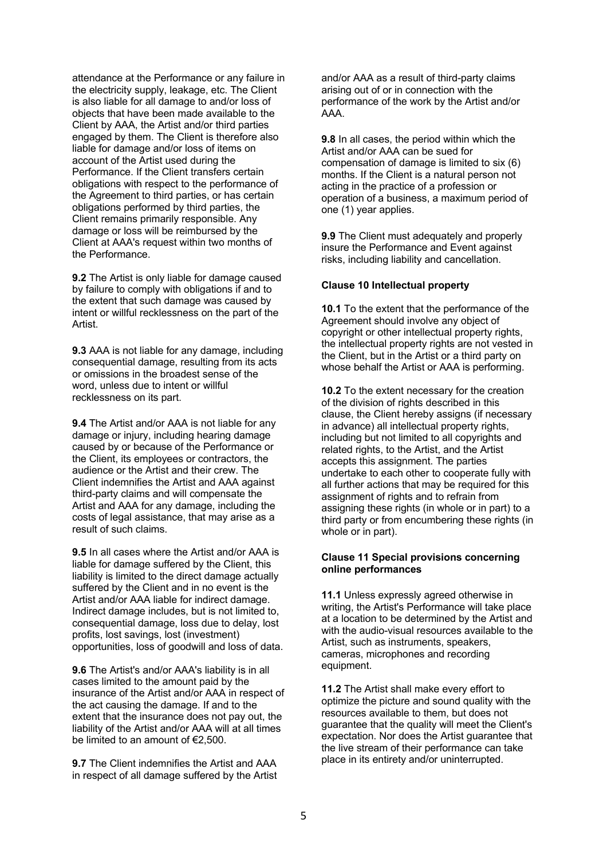attendance at the Performance or any failure in the electricity supply, leakage, etc. The Client is also liable for all damage to and/or loss of objects that have been made available to the Client by AAA, the Artist and/or third parties engaged by them. The Client is therefore also liable for damage and/or loss of items on account of the Artist used during the Performance. If the Client transfers certain obligations with respect to the performance of the Agreement to third parties, or has certain obligations performed by third parties, the Client remains primarily responsible. Any damage or loss will be reimbursed by the Client at AAA's request within two months of the Performance.

**9.2** The Artist is only liable for damage caused by failure to comply with obligations if and to the extent that such damage was caused by intent or willful recklessness on the part of the **Artist** 

**9.3** AAA is not liable for any damage, including consequential damage, resulting from its acts or omissions in the broadest sense of the word, unless due to intent or willful recklessness on its part.

**9.4** The Artist and/or AAA is not liable for any damage or injury, including hearing damage caused by or because of the Performance or the Client, its employees or contractors, the audience or the Artist and their crew. The Client indemnifies the Artist and AAA against third-party claims and will compensate the Artist and AAA for any damage, including the costs of legal assistance, that may arise as a result of such claims.

**9.5** In all cases where the Artist and/or AAA is liable for damage suffered by the Client, this liability is limited to the direct damage actually suffered by the Client and in no event is the Artist and/or AAA liable for indirect damage. Indirect damage includes, but is not limited to, consequential damage, loss due to delay, lost profits, lost savings, lost (investment) opportunities, loss of goodwill and loss of data.

**9.6** The Artist's and/or AAA's liability is in all cases limited to the amount paid by the insurance of the Artist and/or AAA in respect of the act causing the damage. If and to the extent that the insurance does not pay out, the liability of the Artist and/or AAA will at all times be limited to an amount of €2,500.

**9.7** The Client indemnifies the Artist and AAA in respect of all damage suffered by the Artist and/or AAA as a result of third-party claims arising out of or in connection with the performance of the work by the Artist and/or AAA.

**9.8** In all cases, the period within which the Artist and/or AAA can be sued for compensation of damage is limited to six (6) months. If the Client is a natural person not acting in the practice of a profession or operation of a business, a maximum period of one (1) year applies.

**9.9** The Client must adequately and properly insure the Performance and Event against risks, including liability and cancellation.

#### **Clause 10 Intellectual property**

**10.1** To the extent that the performance of the Agreement should involve any object of copyright or other intellectual property rights, the intellectual property rights are not vested in the Client, but in the Artist or a third party on whose behalf the Artist or AAA is performing.

**10.2** To the extent necessary for the creation of the division of rights described in this clause, the Client hereby assigns (if necessary in advance) all intellectual property rights, including but not limited to all copyrights and related rights, to the Artist, and the Artist accepts this assignment. The parties undertake to each other to cooperate fully with all further actions that may be required for this assignment of rights and to refrain from assigning these rights (in whole or in part) to a third party or from encumbering these rights (in whole or in part).

#### **Clause 11 Special provisions concerning online performances**

**11.1** Unless expressly agreed otherwise in writing, the Artist's Performance will take place at a location to be determined by the Artist and with the audio-visual resources available to the Artist, such as instruments, speakers, cameras, microphones and recording equipment.

**11.2** The Artist shall make every effort to optimize the picture and sound quality with the resources available to them, but does not guarantee that the quality will meet the Client's expectation. Nor does the Artist guarantee that the live stream of their performance can take place in its entirety and/or uninterrupted.